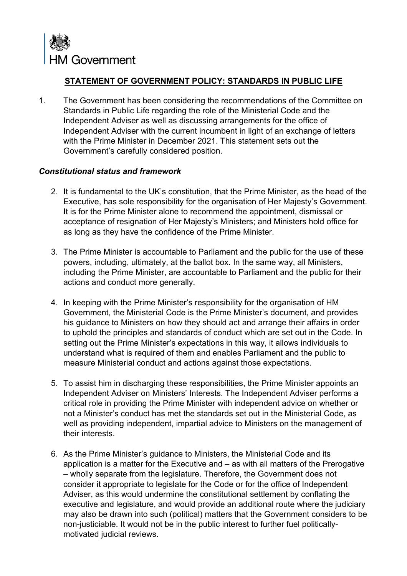

## **STATEMENT OF GOVERNMENT POLICY: STANDARDS IN PUBLIC LIFE**

1. The Government has been considering the recommendations of the Committee on Standards in Public Life regarding the role of the Ministerial Code and the Independent Adviser as well as discussing arrangements for the office of Independent Adviser with the current incumbent in light of an exchange of letters with the Prime Minister in December 2021. This statement sets out the Government's carefully considered position.

## *Constitutional status and framework*

- 2. It is fundamental to the UK's constitution, that the Prime Minister, as the head of the Executive, has sole responsibility for the organisation of Her Majesty's Government. It is for the Prime Minister alone to recommend the appointment, dismissal or acceptance of resignation of Her Majesty's Ministers; and Ministers hold office for as long as they have the confidence of the Prime Minister.
- 3. The Prime Minister is accountable to Parliament and the public for the use of these powers, including, ultimately, at the ballot box. In the same way, all Ministers, including the Prime Minister, are accountable to Parliament and the public for their actions and conduct more generally.
- 4. In keeping with the Prime Minister's responsibility for the organisation of HM Government, the Ministerial Code is the Prime Minister's document, and provides his guidance to Ministers on how they should act and arrange their affairs in order to uphold the principles and standards of conduct which are set out in the Code. In setting out the Prime Minister's expectations in this way, it allows individuals to understand what is required of them and enables Parliament and the public to measure Ministerial conduct and actions against those expectations.
- 5. To assist him in discharging these responsibilities, the Prime Minister appoints an Independent Adviser on Ministers' Interests. The Independent Adviser performs a critical role in providing the Prime Minister with independent advice on whether or not a Minister's conduct has met the standards set out in the Ministerial Code, as well as providing independent, impartial advice to Ministers on the management of their interests.
- 6. As the Prime Minister's guidance to Ministers, the Ministerial Code and its application is a matter for the Executive and – as with all matters of the Prerogative – wholly separate from the legislature. Therefore, the Government does not consider it appropriate to legislate for the Code or for the office of Independent Adviser, as this would undermine the constitutional settlement by conflating the executive and legislature, and would provide an additional route where the judiciary may also be drawn into such (political) matters that the Government considers to be non-justiciable. It would not be in the public interest to further fuel politicallymotivated judicial reviews.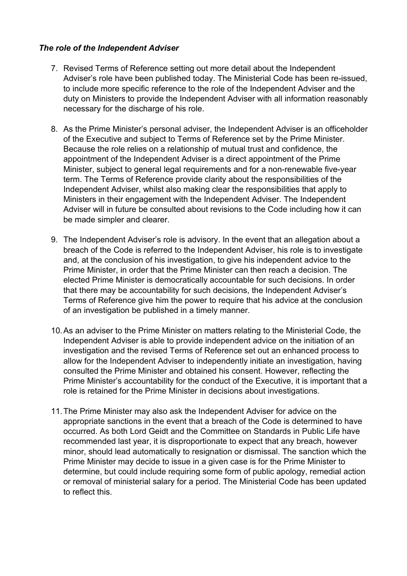## *The role of the Independent Adviser*

- 7. Revised Terms of Reference setting out more detail about the Independent Adviser's role have been published today. The Ministerial Code has been re-issued, to include more specific reference to the role of the Independent Adviser and the duty on Ministers to provide the Independent Adviser with all information reasonably necessary for the discharge of his role.
- 8. As the Prime Minister's personal adviser, the Independent Adviser is an officeholder of the Executive and subject to Terms of Reference set by the Prime Minister. Because the role relies on a relationship of mutual trust and confidence, the appointment of the Independent Adviser is a direct appointment of the Prime Minister, subject to general legal requirements and for a non-renewable five-year term. The Terms of Reference provide clarity about the responsibilities of the Independent Adviser, whilst also making clear the responsibilities that apply to Ministers in their engagement with the Independent Adviser. The Independent Adviser will in future be consulted about revisions to the Code including how it can be made simpler and clearer.
- 9. The Independent Adviser's role is advisory. In the event that an allegation about a breach of the Code is referred to the Independent Adviser, his role is to investigate and, at the conclusion of his investigation, to give his independent advice to the Prime Minister, in order that the Prime Minister can then reach a decision. The elected Prime Minister is democratically accountable for such decisions. In order that there may be accountability for such decisions, the Independent Adviser's Terms of Reference give him the power to require that his advice at the conclusion of an investigation be published in a timely manner.
- 10.As an adviser to the Prime Minister on matters relating to the Ministerial Code, the Independent Adviser is able to provide independent advice on the initiation of an investigation and the revised Terms of Reference set out an enhanced process to allow for the Independent Adviser to independently initiate an investigation, having consulted the Prime Minister and obtained his consent. However, reflecting the Prime Minister's accountability for the conduct of the Executive, it is important that a role is retained for the Prime Minister in decisions about investigations.
- 11.The Prime Minister may also ask the Independent Adviser for advice on the appropriate sanctions in the event that a breach of the Code is determined to have occurred. As both Lord Geidt and the Committee on Standards in Public Life have recommended last year, it is disproportionate to expect that any breach, however minor, should lead automatically to resignation or dismissal. The sanction which the Prime Minister may decide to issue in a given case is for the Prime Minister to determine, but could include requiring some form of public apology, remedial action or removal of ministerial salary for a period. The Ministerial Code has been updated to reflect this.